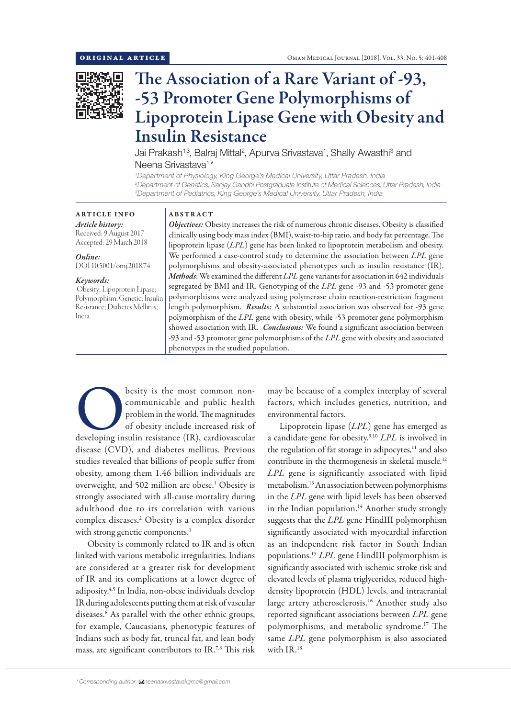

# The Association of a Rare Variant of -93, -53 Promoter Gene Polymorphisms of Lipoprotein Lipase Gene with Obesity and Insulin Resistance

Jai Prakash<sup>1,3</sup>, Balraj Mittal<sup>2</sup>, Apurva Srivastava<sup>1</sup>, Shally Awasthi<sup>3</sup> and Neena Srivastava<sup>1\*</sup>

*1 Department of Physiology, King George's Medical University, Uttar Pradesh, India 2 Department of Genetics, Sanjay Gandhi Postgraduate Institute of Medical Sciences, Uttar Pradesh, India 3 Department of Pediatrics, King George's Medical University, Uttar Pradesh, India*

### ARTICLE INFO *Article history:* Received: 9 August 2017 Accepted: 29 March 2018

*Online:* DOI 10.5001/omj.2018.74

#### *Keywords:*

 Obesity; Lipoprotein Lipase; Polymorphism, Genetic; Insulin Resistance; Diabetes Mellitus; India.

## ABSTRACT

*Objectives:* Obesity increases the risk of numerous chronic diseases. Obesity is classified clinically using body mass index (BMI), waist-to-hip ratio, and body fat percentage. The lipoprotein lipase (*LPL*) gene has been linked to lipoprotein metabolism and obesity. We performed a case-control study to determine the association between *LPL* gene polymorphisms and obesity-associated phenotypes such as insulin resistance (IR). *Methods*: We examined the different *LPL* gene variants for association in 642 individuals segregated by BMI and IR. Genotyping of the *LPL* gene -93 and -53 promoter gene polymorphisms were analyzed using polymerase chain reaction-restriction fragment length polymorphism. *Results:* A substantial association was observed for -93 gene polymorphism of the *LPL* gene with obesity, while -53 promoter gene polymorphism showed association with IR. *Conclusions:* We found a significant association between -93 and -53 promoter gene polymorphisms of the *LPL* gene with obesity and associated phenotypes in the studied population.

besity is the most common non-<br>
communicable and public health<br>
problem in the world. The magnitudes<br>
of obesity include increased risk of<br>
developing insulin resistance (IR), cardiovascular communicable and public health problem in the world. The magnitudes of obesity include increased risk of disease (CVD), and diabetes mellitus. Previous studies revealed that billions of people suffer from obesity, among them 1.46 billion individuals are overweight, and 502 million are obese.1 Obesity is strongly associated with all-cause mortality during adulthood due to its correlation with various complex diseases.2 Obesity is a complex disorder with strong genetic components.<sup>3</sup>

Obesity is commonly related to IR and is often linked with various metabolic irregularities. Indians are considered at a greater risk for development of IR and its complications at a lower degree of adiposity.4,5 In India, non-obese individuals develop IR during adolescents putting them at risk of vascular diseases.6 As parallel with the other ethnic groups, for example, Caucasians, phenotypic features of Indians such as body fat, truncal fat, and lean body mass, are significant contributors to IR.7,8 This risk

may be because of a complex interplay of several factors, which includes genetics, nutrition, and environmental factors.

Lipoprotein lipase (*LPL*) gene has emerged as a candidate gene for obesity.9,10 *LPL* is involved in the regulation of fat storage in adipocytes, $11$  and also contribute in the thermogenesis in skeletal muscle.12 *LPL* gene is significantly associated with lipid metabolism.13 An association between polymorphisms in the *LPL* gene with lipid levels has been observed in the Indian population.<sup>14</sup> Another study strongly suggests that the *LPL* gene HindIII polymorphism significantly associated with myocardial infarction as an independent risk factor in South Indian populations.15 *LPL* gene HindIII polymorphism is significantly associated with ischemic stroke risk and elevated levels of plasma triglycerides, reduced highdensity lipoprotein (HDL) levels, and intracranial large artery atherosclerosis.<sup>16</sup> Another study also reported significant associations between *LPL* gene polymorphisms, and metabolic syndrome.17 The same *LPL* gene polymorphism is also associated with IR.18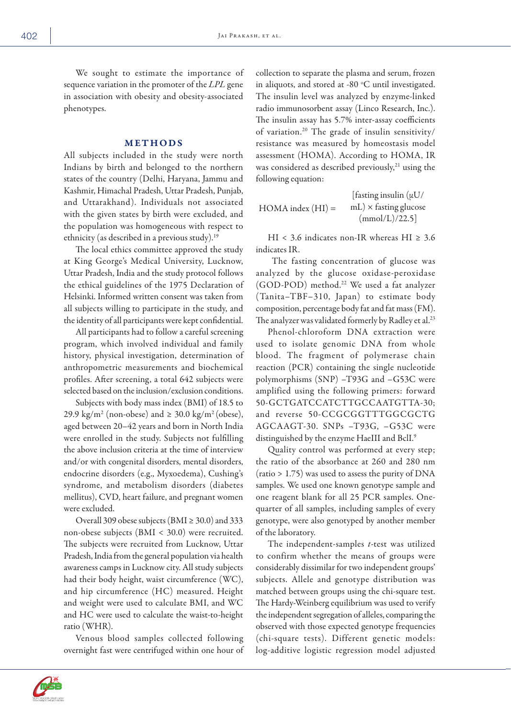We sought to estimate the importance of sequence variation in the promoter of the *LPL* gene in association with obesity and obesity-associated phenotypes.

# METHODS

All subjects included in the study were north Indians by birth and belonged to the northern states of the country (Delhi, Haryana, Jammu and Kashmir, Himachal Pradesh, Uttar Pradesh, Punjab, and Uttarakhand). Individuals not associated with the given states by birth were excluded, and the population was homogeneous with respect to ethnicity (as described in a previous study).19

The local ethics committee approved the study at King George's Medical University, Lucknow, Uttar Pradesh, India and the study protocol follows the ethical guidelines of the 1975 Declaration of Helsinki. Informed written consent was taken from all subjects willing to participate in the study, and the identity of all participants were kept confidential.

All participants had to follow a careful screening program, which involved individual and family history, physical investigation, determination of anthropometric measurements and biochemical profiles. After screening, a total 642 subjects were selected based on the inclusion/exclusion conditions.

Subjects with body mass index (BMI) of 18.5 to 29.9 kg/m<sup>2</sup> (non-obese) and  $\geq$  30.0 kg/m<sup>2</sup> (obese), aged between 20–42 years and born in North India were enrolled in the study. Subjects not fulfilling the above inclusion criteria at the time of interview and/or with congenital disorders, mental disorders, endocrine disorders (e.g., Myxoedema), Cushing's syndrome, and metabolism disorders (diabetes mellitus), CVD, heart failure, and pregnant women were excluded.

Overall 309 obese subjects (BMI  $\geq$  30.0) and 333 non-obese subjects (BMI < 30.0) were recruited. The subjects were recruited from Lucknow, Uttar Pradesh, India from the general population via health awareness camps in Lucknow city. All study subjects had their body height, waist circumference (WC), and hip circumference (HC) measured. Height and weight were used to calculate BMI, and WC and HC were used to calculate the waist-to-height ratio (WHR).

Venous blood samples collected following overnight fast were centrifuged within one hour of collection to separate the plasma and serum, frozen in aliquots, and stored at -80  $^{\circ}$ C until investigated. The insulin level was analyzed by enzyme-linked radio immunosorbent assay (Linco Research, Inc.). The insulin assay has 5.7% inter-assay coefficients of variation.20 The grade of insulin sensitivity/ resistance was measured by homeostasis model assessment (HOMA). According to HOMA, IR was considered as described previously,<sup>21</sup> using the following equation:

 $HOMA$  index  $(HI) =$ [fasting insulin  $(\mu U)$ ]  $mL$ )  $\times$  fasting glucose  $(mmol/L)/22.5$ ]

HI < 3.6 indicates non-IR whereas HI  $\geq 3.6$ indicates IR.

 The fasting concentration of glucose was analyzed by the glucose oxidase-peroxidase (GOD-POD) method.22 We used a fat analyzer (Tanita–TBF–310, Japan) to estimate body composition, percentage body fat and fat mass (FM). The analyzer was validated formerly by Radley et al.<sup>23</sup>

Phenol-chloroform DNA extraction were used to isolate genomic DNA from whole blood. The fragment of polymerase chain reaction (PCR) containing the single nucleotide polymorphisms (SNP) –T93G and –G53C were amplified using the following primers: forward 50-GCTGATCCATCTTGCCAATGTTA-30; and reverse 50-CCGCGGTTTGGCGCTG AGCAAGT-30. SNPs –T93G, –G53C were distinguished by the enzyme HaeIII and BclI.<sup>9</sup>

Quality control was performed at every step; the ratio of the absorbance at 260 and 280 nm (ratio > 1.75) was used to assess the purity of DNA samples. We used one known genotype sample and one reagent blank for all 25 PCR samples. Onequarter of all samples, including samples of every genotype, were also genotyped by another member of the laboratory.

The independent-samples *t*-test was utilized to confirm whether the means of groups were considerably dissimilar for two independent groups' subjects. Allele and genotype distribution was matched between groups using the chi-square test. The Hardy-Weinberg equilibrium was used to verify the independent segregation of alleles, comparing the observed with those expected genotype frequencies (chi-square tests). Different genetic models: log-additive logistic regression model adjusted

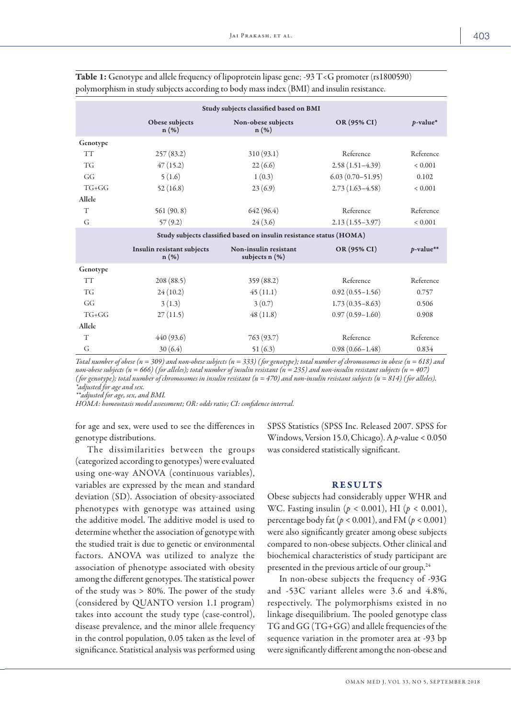| Study subjects classified based on BMI |                                       |                                                                     |                      |              |  |  |
|----------------------------------------|---------------------------------------|---------------------------------------------------------------------|----------------------|--------------|--|--|
|                                        | Obese subjects<br>$n(\%)$             | Non-obese subjects<br>$n(\%)$                                       | OR (95% CI)          | $p$ -value*  |  |  |
| Genotype                               |                                       |                                                                     |                      |              |  |  |
| <b>TT</b>                              | 257(83.2)                             | 310 (93.1)                                                          | Reference            | Reference    |  |  |
| <b>TG</b>                              | 47(15.2)                              | 22(6.6)                                                             | $2.58(1.51-4.39)$    | ${}_{0.001}$ |  |  |
| GG                                     | 5(1.6)                                | 1(0.3)                                                              | $6.03(0.70 - 51.95)$ | 0.102        |  |  |
| $TG+GG$                                | 52(16.8)                              | 23(6.9)                                                             | $2.73(1.63-4.58)$    | ${}< 0.001$  |  |  |
| Allele                                 |                                       |                                                                     |                      |              |  |  |
| T                                      | 561(90.8)                             | 642 (96.4)                                                          | Reference            | Reference    |  |  |
| G                                      | 57(9.2)                               | 24(3.6)                                                             | $2.13(1.55-3.97)$    | ${}< 0.001$  |  |  |
|                                        |                                       | Study subjects classified based on insulin resistance status (HOMA) |                      |              |  |  |
|                                        | Insulin resistant subjects<br>$n(\%)$ | Non-insulin resistant<br>subjects $n$ $(\%)$                        | OR (95% CI)          | $p$ -value** |  |  |
| Genotype                               |                                       |                                                                     |                      |              |  |  |
| <b>TT</b>                              | 208 (88.5)                            | 359(88.2)                                                           | Reference            | Reference    |  |  |
| <b>TG</b>                              | 24(10.2)                              | 45(11.1)                                                            | $0.92(0.55 - 1.56)$  | 0.757        |  |  |
| GG                                     | 3(1.3)                                | 3(0.7)                                                              | $1.73(0.35 - 8.63)$  | 0.506        |  |  |
| $TG+GG$                                | 27(11.5)                              | 48(11.8)                                                            | $0.97(0.59 - 1.60)$  | 0.908        |  |  |
| Allele                                 |                                       |                                                                     |                      |              |  |  |
| T                                      | 440 (93.6)                            | 763 (93.7)                                                          | Reference            | Reference    |  |  |
| G                                      | 30(6.4)                               | 51(6.3)                                                             | $0.98(0.66 - 1.48)$  | 0.834        |  |  |

Table 1: Genotype and allele frequency of lipoprotein lipase gene; -93 T<G promoter (rs1800590) polymorphism in study subjects according to body mass index (BMI) and insulin resistance.

*Total number of obese (n = 309) and non-obese subjects (n = 333) ( for genotype); total number of chromosomes in obese (n = 618) and non-obese subjects (n = 666) ( for alleles); total number of insulin resistant (n = 235) and non-insulin resistant subjects (n = 407) ( for genotype); total number of chromosomes in insulin resistant (n = 470) and non-insulin resistant subjects (n = 814) ( for alleles). \*adjusted for age and sex.*

*\*\*adjusted for age, sex, and BMI.*

*HOMA: homeostasis model assessment; OR: odds ratio; CI: confidence interval.*

for age and sex, were used to see the differences in genotype distributions.

The dissimilarities between the groups (categorized according to genotypes) were evaluated using one-way ANOVA (continuous variables), variables are expressed by the mean and standard deviation (SD). Association of obesity-associated phenotypes with genotype was attained using the additive model. The additive model is used to determine whether the association of genotype with the studied trait is due to genetic or environmental factors. ANOVA was utilized to analyze the association of phenotype associated with obesity among the different genotypes. The statistical power of the study was > 80%. The power of the study (considered by QUANTO version 1.1 program) takes into account the study type (case-control), disease prevalence, and the minor allele frequency in the control population, 0.05 taken as the level of significance. Statistical analysis was performed using SPSS Statistics (SPSS Inc. Released 2007. SPSS for Windows, Version 15.0, Chicago). A *p*-value < 0.050 was considered statistically significant.

### RESULTS

Obese subjects had considerably upper WHR and WC. Fasting insulin (*p* < 0.001), HI (*p* < 0.001), percentage body fat (*p* < 0.001), and FM (*p* < 0.001) were also significantly greater among obese subjects compared to non-obese subjects. Other clinical and biochemical characteristics of study participant are presented in the previous article of our group.<sup>24</sup>

In non-obese subjects the frequency of -93G and -53C variant alleles were 3.6 and 4.8%, respectively. The polymorphisms existed in no linkage disequilibrium. The pooled genotype class TG and GG (TG+GG) and allele frequencies of the sequence variation in the promoter area at -93 bp were significantly different among the non-obese and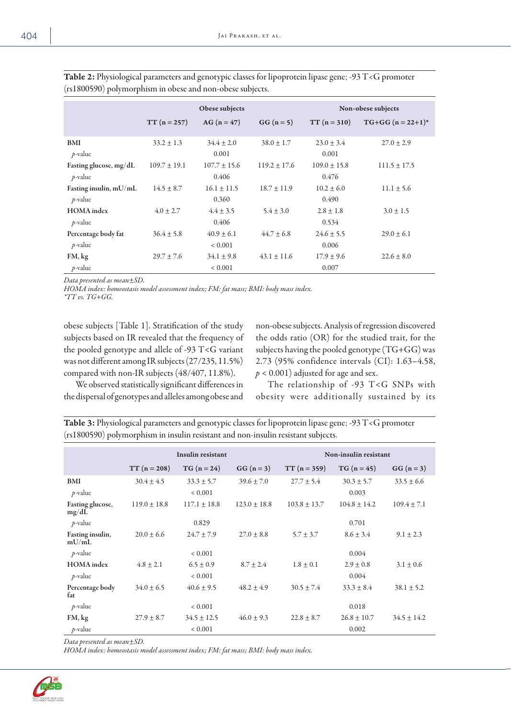| $\lambda$<br>$\mathbf{r}$            |                  |                               |                  |                           |                                 |  |
|--------------------------------------|------------------|-------------------------------|------------------|---------------------------|---------------------------------|--|
|                                      |                  | Obese subjects                |                  |                           | Non-obese subjects              |  |
|                                      | $TT (n = 257)$   | AG $(n = 47)$                 | $GG (n = 5)$     | $TT (n = 310)$            | $TG+GG$ (n = 22+1) <sup>*</sup> |  |
| <b>BMI</b><br>$p$ -value             | $33.2 \pm 1.3$   | $34.4 \pm 2.0$<br>0.001       | $38.0 \pm 1.7$   | $23.0 \pm 3.4$<br>0.001   | $27.0 \pm 2.9$                  |  |
| Fasting glucose, mg/dL<br>$p$ -value | $109.7 \pm 19.1$ | $107.7 \pm 15.6$<br>0.406     | $119.2 \pm 17.6$ | $109.0 \pm 15.8$<br>0.476 | $111.5 \pm 17.5$                |  |
| Fasting insulin, mU/mL<br>$p$ -value | $14.5 \pm 8.7$   | $16.1 \pm 11.5$<br>0.360      | $18.7 \pm 11.9$  | $10.2 \pm 6.0$<br>0.490   | $11.1 \pm 5.6$                  |  |
| <b>HOMA</b> index<br>$p$ -value      | $4.0 \pm 2.7$    | $4.4 \pm 3.5$<br>0.406        | $5.4 \pm 3.0$    | $2.8 \pm 1.8$<br>0.534    | $3.0 \pm 1.5$                   |  |
| Percentage body fat<br>$p$ -value    | $36.4 \pm 5.8$   | $40.9 \pm 6.1$<br>${}< 0.001$ | $44.7 \pm 6.8$   | $24.6 \pm 5.5$<br>0.006   | $29.0 \pm 6.1$                  |  |
| FM, kg<br>$p$ -value                 | $29.7 \pm 7.6$   | $34.1 \pm 9.8$<br>${}< 0.001$ | $43.1 \pm 11.6$  | $17.9 \pm 9.6$<br>0.007   | $22.6 \pm 8.0$                  |  |

Table 2: Physiological parameters and genotypic classes for lipoprotein lipase gene; -93 T<G promoter (rs1800590) polymorphism in obese and non-obese subjects.

*Data presented as mean±SD.* 

*HOMA index: homeostasis model assessment index; FM: fat mass; BMI: body mass index.*

*\*TT vs. TG+GG.*

obese subjects [Table 1]. Stratification of the study subjects based on IR revealed that the frequency of the pooled genotype and allele of -93 T<G variant was not different among IR subjects (27/235, 11.5%) compared with non-IR subjects (48/407, 11.8%).

non-obese subjects. Analysis of regression discovered the odds ratio (OR) for the studied trait, for the subjects having the pooled genotype (TG+GG) was 2.73 (95% confidence intervals (CI): 1.63–4.58,  $p < 0.001$ ) adjusted for age and sex.

We observed statistically significant differences in the dispersal of genotypes and alleles among obese and

The relationship of -93 T<G SNPs with obesity were additionally sustained by its

Table 3: Physiological parameters and genotypic classes for lipoprotein lipase gene; -93 T<G promoter (rs1800590) polymorphism in insulin resistant and non-insulin resistant subjects.

|                           | Insulin resistant |                  |                  | Non-insulin resistant |                  |                 |  |
|---------------------------|-------------------|------------------|------------------|-----------------------|------------------|-----------------|--|
|                           | $TT(n = 208)$     | $TG (n = 24)$    | $GG (n = 3)$     | $TT (n = 359)$        | $TG (n = 45)$    | $GG (n = 3)$    |  |
| <b>BMI</b>                | $30.4 \pm 4.5$    | $33.3 \pm 5.7$   | $39.6 \pm 7.0$   | $27.7 + 5.4$          | $30.3 \pm 5.7$   | $33.5 \pm 6.6$  |  |
| $p$ -value                |                   | ${}< 0.001$      |                  |                       | 0.003            |                 |  |
| Fasting glucose,<br>mg/dL | $119.0 \pm 18.8$  | $117.1 \pm 18.8$ | $123.0 \pm 18.8$ | $103.8 \pm 13.7$      | $104.8 \pm 14.2$ | $109.4 \pm 7.1$ |  |
| $p$ -value                |                   | 0.829            |                  |                       | 0.701            |                 |  |
| Fasting insulin,<br>mU/mL | $20.0 \pm 6.6$    | $24.7 \pm 7.9$   | $27.0 + 8.8$     | $5.7 \pm 3.7$         | $8.6 \pm 3.4$    | $9.1 \pm 2.3$   |  |
| $p$ -value                |                   | ${}< 0.001$      |                  |                       | 0.004            |                 |  |
| <b>HOMA</b> index         | $4.8 \pm 2.1$     | $6.5 \pm 0.9$    | $8.7 \pm 2.4$    | $1.8 \pm 0.1$         | $2.9 \pm 0.8$    | $3.1 \pm 0.6$   |  |
| $p$ -value                |                   | ${}< 0.001$      |                  |                       | 0.004            |                 |  |
| Percentage body<br>fat    | $34.0 + 6.5$      | $40.6 \pm 9.5$   | $48.2 + 4.9$     | $30.5 \pm 7.4$        | $33.3 + 8.4$     | $38.1 \pm 5.2$  |  |
| $p$ -value                |                   | ${}< 0.001$      |                  |                       | 0.018            |                 |  |
| FM, kg                    | $27.9 \pm 8.7$    | $34.5 \pm 12.5$  | $46.0 + 9.3$     | $22.8 \pm 8.7$        | $26.8 \pm 10.7$  | $34.5 + 14.2$   |  |
| $p$ -value                |                   | ${}< 0.001$      |                  |                       | 0.002            |                 |  |

*Data presented as mean±SD.* 

*HOMA index: homeostasis model assessment index; FM: fat mass; BMI: body mass index.*

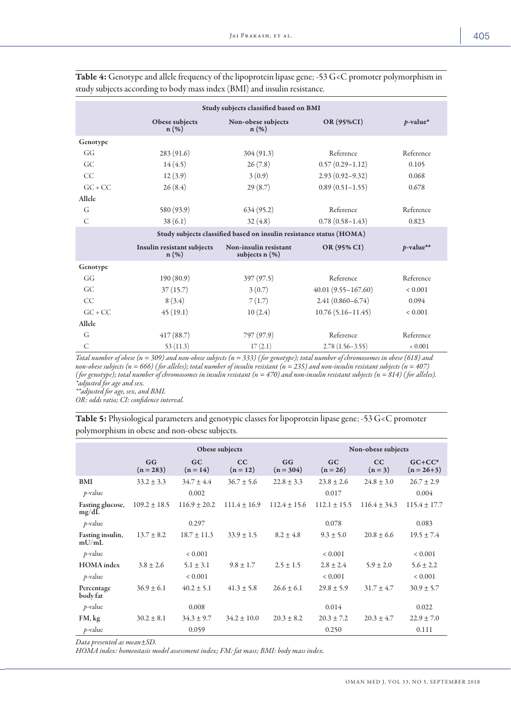| Study subjects classified based on BMI |                                                                     |                                              |                        |              |  |  |  |  |
|----------------------------------------|---------------------------------------------------------------------|----------------------------------------------|------------------------|--------------|--|--|--|--|
|                                        | Obese subjects<br>$n(\%)$                                           | Non-obese subjects<br>n(%)                   | OR (95%CI)             | $p$ -value*  |  |  |  |  |
| Genotype                               |                                                                     |                                              |                        |              |  |  |  |  |
| GG                                     | 283 (91.6)                                                          | 304 (91.3)                                   | Reference              | Reference    |  |  |  |  |
| GC.                                    | 14(4.5)                                                             | 26(7.8)                                      | $0.57(0.29 - 1.12)$    | 0.105        |  |  |  |  |
| CC                                     | 12(3.9)                                                             | 3(0.9)                                       | $2.93(0.92 - 9.32)$    | 0.068        |  |  |  |  |
| $GC + CC$                              | 26(8.4)                                                             | 29(8.7)                                      | $0.89(0.51-1.55)$      | 0.678        |  |  |  |  |
| Allele                                 |                                                                     |                                              |                        |              |  |  |  |  |
| G                                      | 580 (93.9)                                                          | 634(95.2)                                    | Reference              | Reference    |  |  |  |  |
| C                                      | 38(6.1)                                                             | 32(4.8)                                      | $0.78(0.58 - 1.43)$    | 0.823        |  |  |  |  |
|                                        | Study subjects classified based on insulin resistance status (HOMA) |                                              |                        |              |  |  |  |  |
|                                        | Insulin resistant subjects<br>$n(\%)$                               | Non-insulin resistant<br>subjects $n$ $(\%)$ | OR (95% CI)            | $p$ -value** |  |  |  |  |
| Genotype                               |                                                                     |                                              |                        |              |  |  |  |  |
| GG                                     | 190(80.9)                                                           | 397(97.5)                                    | Reference              | Reference    |  |  |  |  |
| GC                                     | 37(15.7)                                                            | 3(0.7)                                       | $40.01(9.55 - 167.60)$ | ${}< 0.001$  |  |  |  |  |
| <b>CC</b>                              | 8(3.4)                                                              | 7(1.7)                                       | $2.41(0.860 - 6.74)$   | 0.094        |  |  |  |  |
| $GC + CC$                              | 45(19.1)                                                            | 10(2.4)                                      | $10.76(5.16 - 11.45)$  | < 0.001      |  |  |  |  |
| Allele                                 |                                                                     |                                              |                        |              |  |  |  |  |
| G                                      | 417(88.7)                                                           | 797 (97.9)                                   | Reference              | Reference    |  |  |  |  |
| C                                      | 53(11.3)                                                            | 17(2.1)                                      | $2.78(1.56 - 3.55)$    | 0.001        |  |  |  |  |

Table 4: Genotype and allele frequency of the lipoprotein lipase gene; -53 G<C promoter polymorphism in study subjects according to body mass index (BMI) and insulin resistance.

*Total number of obese (n = 309) and non-obese subjects (n = 333) ( for genotype); total number of chromosomes in obese (618) and non-obese subjects (n = 666) ( for alleles); total number of insulin resistant (n = 235) and non-insulin resistant subjects (n = 407) ( for genotype); total number of chromosomes in insulin resistant (n = 470) and non-insulin resistant subjects (n = 814) ( for alleles). \*adjusted for age and sex.*

*\*\*adjusted for age, sex, and BMI.*

*OR: odds ratio; CI: confidence interval.*

| Table 5: Physiological parameters and genotypic classes for lipoprotein lipase gene; -53 G <c promoter<="" th=""><th></th><th></th></c> |  |  |
|-----------------------------------------------------------------------------------------------------------------------------------------|--|--|
| polymorphism in obese and non-obese subjects.                                                                                           |  |  |

|                                     | Obese subjects    |                         |                  |                   | Non-obese subjects      |                  |                           |  |
|-------------------------------------|-------------------|-------------------------|------------------|-------------------|-------------------------|------------------|---------------------------|--|
|                                     | GG<br>$(n = 283)$ | GC<br>$(n = 14)$        | cc<br>$(n = 12)$ | GG<br>$(n = 304)$ | GC<br>$(n = 26)$        | CC<br>$(n=3)$    | $GC+CC^*$<br>$(n = 26+3)$ |  |
| <b>BMI</b><br>$p$ -value            | $33.2 \pm 3.3$    | $34.7 \pm 4.4$<br>0.002 | $36.7 \pm 5.6$   | $22.8 + 3.3$      | $23.8 \pm 2.6$<br>0.017 | $24.8 \pm 3.0$   | $26.7 \pm 2.9$<br>0.004   |  |
| Fasting glucose,<br>$mg/d\tilde{L}$ | $109.2 \pm 18.5$  | $116.9 \pm 20.2$        | $111.4 \pm 16.9$ | $112.4 \pm 15.6$  | $112.1 \pm 15.5$        | $116.4 \pm 34.3$ | $115.4 \pm 17.7$          |  |
| $p$ -value                          |                   | 0.297                   |                  |                   | 0.078                   |                  | 0.083                     |  |
| Fasting insulin,<br>mU/mL           | $13.7 \pm 8.2$    | $18.7 \pm 11.3$         | $33.9 \pm 1.5$   | $8.2 \pm 4.8$     | $9.3 \pm 5.0$           | $20.8 \pm 6.6$   | $19.5 \pm 7.4$            |  |
| $p$ -value                          |                   | ${}< 0.001$             |                  |                   | ${}< 0.001$             |                  | ${}< 0.001$               |  |
| <b>HOMA</b> index                   | $3.8 \pm 2.6$     | $5.1 \pm 3.1$           | $9.8 \pm 1.7$    | $2.5 \pm 1.5$     | $2.8 \pm 2.4$           | $5.9 \pm 2.0$    | $5.6 \pm 2.2$             |  |
| $p$ -value                          |                   | ${}< 0.001$             |                  |                   | ${}< 0.001$             |                  | ${}< 0.001$               |  |
| Percentage<br>body fat              | $36.9 \pm 6.1$    | $40.2 \pm 5.1$          | $41.3 \pm 5.8$   | $26.6 \pm 6.1$    | $29.8 \pm 5.9$          | $31.7 \pm 4.7$   | $30.9 \pm 5.7$            |  |
| $p$ -value                          |                   | 0.008                   |                  |                   | 0.014                   |                  | 0.022                     |  |
| FM, kg                              | $30.2 + 8.1$      | $34.3 \pm 9.7$          | $34.2 + 10.0$    | $20.3 + 8.2$      | $20.3 \pm 7.2$          | $20.3 \pm 4.7$   | $22.9 \pm 7.0$            |  |
| $p$ -value                          |                   | 0.059                   |                  |                   | 0.250                   |                  | 0.111                     |  |

*Data presented as mean±SD.* 

*HOMA index: homeostasis model assessment index; FM: fat mass; BMI: body mass index.*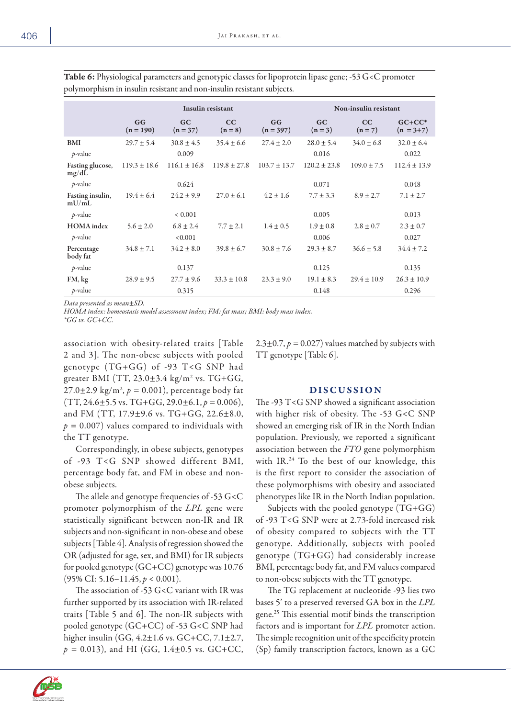|                                     | Insulin resistant |                         |                  |                   | Non-insulin resistant   |                 |                            |  |
|-------------------------------------|-------------------|-------------------------|------------------|-------------------|-------------------------|-----------------|----------------------------|--|
|                                     | GG<br>$(n = 190)$ | GC<br>$(n = 37)$        | CC<br>$(n=8)$    | GG<br>$(n = 397)$ | GC<br>$(n=3)$           | CC<br>$(n=7)$   | $GC+CC^*$<br>$(n = 3 + 7)$ |  |
| <b>BMI</b><br>$p$ -value            | $29.7 \pm 5.4$    | $30.8 \pm 4.5$<br>0.009 | $35.4 \pm 6.6$   | $27.4 \pm 2.0$    | $28.0 \pm 5.4$<br>0.016 | $34.0 \pm 6.8$  | $32.0 \pm 6.4$<br>0.022    |  |
| Fasting glucose,<br>$mg/d\tilde{L}$ | $119.3 \pm 18.6$  | $116.1 \pm 16.8$        | $119.8 \pm 27.8$ | $103.7 \pm 13.7$  | $120.2 \pm 23.8$        | $109.0 \pm 7.5$ | $112.4 \pm 13.9$           |  |
| $p$ -value                          |                   | 0.624                   |                  |                   | 0.071                   |                 | 0.048                      |  |
| Fasting insulin,<br>mU/mL           | $19.4 \pm 6.4$    | $24.2 \pm 9.9$          | $27.0 \pm 6.1$   | $4.2 \pm 1.6$     | $7.7 \pm 3.3$           | $8.9 \pm 2.7$   | $7.1 \pm 2.7$              |  |
| $p$ -value                          |                   | ${}< 0.001$             |                  |                   | 0.005                   |                 | 0.013                      |  |
| <b>HOMA</b> index                   | $5.6 \pm 2.0$     | $6.8 \pm 2.4$           | $7.7 \pm 2.1$    | $1.4 \pm 0.5$     | $1.9 \pm 0.8$           | $2.8 \pm 0.7$   | $2.3 \pm 0.7$              |  |
| $p$ -value                          |                   | < 0.001                 |                  |                   | 0.006                   |                 | 0.027                      |  |
| Percentage<br>body fat              | $34.8 \pm 7.1$    | $34.2 \pm 8.0$          | $39.8 \pm 6.7$   | $30.8 \pm 7.6$    | $29.3 \pm 8.7$          | $36.6 \pm 5.8$  | $34.4 \pm 7.2$             |  |
| $p$ -value                          |                   | 0.137                   |                  |                   | 0.125                   |                 | 0.135                      |  |
| FM, kg                              | $28.9 \pm 9.5$    | $27.7 \pm 9.6$          | $33.3 \pm 10.8$  | $23.3 \pm 9.0$    | $19.1 \pm 8.3$          | $29.4 \pm 10.9$ | $26.3 \pm 10.9$            |  |
| $p$ -value                          |                   | 0.315                   |                  |                   | 0.148                   |                 | 0.296                      |  |

Table 6: Physiological parameters and genotypic classes for lipoprotein lipase gene; -53 G<C promoter polymorphism in insulin resistant and non-insulin resistant subjects.

*Data presented as mean±SD.*

*HOMA index: homeostasis model assessment index; FM: fat mass; BMI: body mass index. \*GG vs. GC+CC.*

association with obesity-related traits [Table 2 and 3]. The non-obese subjects with pooled genotype (TG+GG) of -93 T<G SNP had greater BMI (TT, 23.0±3.4 kg/m<sup>2</sup> vs. TG+GG, 27.0±2.9 kg/m2 , *p =* 0.001), percentage body fat  $(TT, 24.6 \pm 5.5 \text{ vs. } TG + GG, 29.0 \pm 6.1, p = 0.006),$ and FM (TT, 17.9±9.6 vs. TG+GG, 22.6±8.0,  $p = 0.007$ ) values compared to individuals with the TT genotype.

Correspondingly, in obese subjects, genotypes of -93 T<G SNP showed different BMI, percentage body fat, and FM in obese and nonobese subjects.

The allele and genotype frequencies of -53 G<C promoter polymorphism of the *LPL* gene were statistically significant between non-IR and IR subjects and non-significant in non-obese and obese subjects [Table 4]. Analysis of regression showed the OR (adjusted for age, sex, and BMI) for IR subjects for pooled genotype (GC+CC) genotype was 10.76 (95% CI: 5.16–11.45, *p* < 0.001).

The association of -53 G<C variant with IR was further supported by its association with IR-related traits [Table 5 and 6]. The non-IR subjects with pooled genotype (GC+CC) of -53 G<C SNP had higher insulin (GG, 4.2±1.6 vs. GC+CC, 7.1±2.7,  $p = 0.013$ ), and HI (GG, 1.4 $\pm$ 0.5 vs. GC+CC, 2.3 $\pm$ 0.7,  $p = 0.027$ ) values matched by subjects with TT genotype [Table 6].

## DISCUSSION

The -93 T<G SNP showed a significant association with higher risk of obesity. The -53 G<C SNP showed an emerging risk of IR in the North Indian population. Previously, we reported a significant association between the *FTO* gene polymorphism with IR.<sup>24</sup> To the best of our knowledge, this is the first report to consider the association of these polymorphisms with obesity and associated phenotypes like IR in the North Indian population.

Subjects with the pooled genotype (TG+GG) of -93 T<G SNP were at 2.73-fold increased risk of obesity compared to subjects with the TT genotype. Additionally, subjects with pooled genotype (TG+GG) had considerably increase BMI, percentage body fat, and FM values compared to non-obese subjects with the TT genotype.

The TG replacement at nucleotide -93 lies two bases 5' to a preserved reversed GA box in the *LPL* gene.25 This essential motif binds the transcription factors and is important for *LPL* promoter action. The simple recognition unit of the specificity protein (Sp) family transcription factors, known as a GC

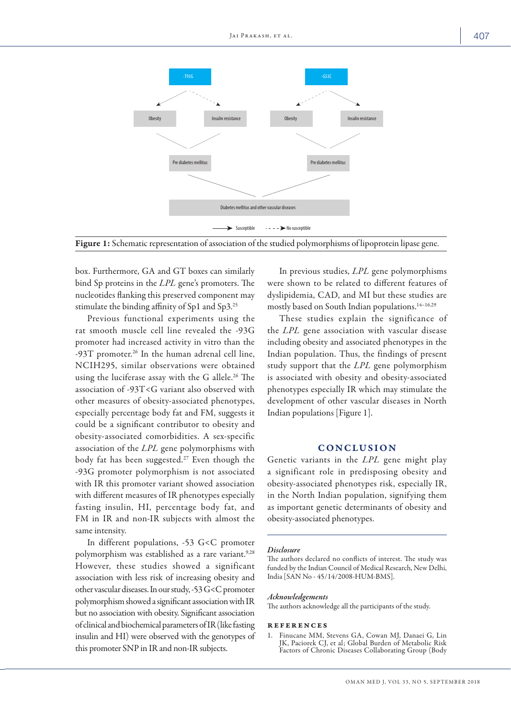

Figure 1: Schematic representation of association of the studied polymorphisms of lipoprotein lipase gene.

box. Furthermore, GA and GT boxes can similarly bind Sp proteins in the *LPL* gene's promoters. The nucleotides flanking this preserved component may stimulate the binding affinity of Sp1 and Sp3.25

Previous functional experiments using the rat smooth muscle cell line revealed the -93G promoter had increased activity in vitro than the  $-93T$  promoter.<sup>26</sup> In the human adrenal cell line, NCIH295, similar observations were obtained using the luciferase assay with the G allele.<sup>26</sup> The association of -93T<G variant also observed with other measures of obesity-associated phenotypes, especially percentage body fat and FM, suggests it could be a significant contributor to obesity and obesity-associated comorbidities. A sex-specific association of the *LPL* gene polymorphisms with body fat has been suggested.27 Even though the -93G promoter polymorphism is not associated with IR this promoter variant showed association with different measures of IR phenotypes especially fasting insulin, HI, percentage body fat, and FM in IR and non-IR subjects with almost the same intensity.

In different populations, -53 G<C promoter polymorphism was established as a rare variant.<sup>9,28</sup> However, these studies showed a significant association with less risk of increasing obesity and other vascular diseases. In our study, -53 G<C promoter polymorphism showed a significant association with IR but no association with obesity. Significant association of clinical and biochemical parameters of IR (like fasting insulin and HI) were observed with the genotypes of this promoter SNP in IR and non-IR subjects.

In previous studies, *LPL* gene polymorphisms were shown to be related to different features of dyslipidemia, CAD, and MI but these studies are mostly based on South Indian populations.14–16,29

These studies explain the significance of the *LPL* gene association with vascular disease including obesity and associated phenotypes in the Indian population. Thus, the findings of present study support that the *LPL* gene polymorphism is associated with obesity and obesity-associated phenotypes especially IR which may stimulate the development of other vascular diseases in North Indian populations [Figure 1].

## **CONCLUSION**

Genetic variants in the *LPL* gene might play a significant role in predisposing obesity and obesity-associated phenotypes risk, especially IR, in the North Indian population, signifying them as important genetic determinants of obesity and obesity-associated phenotypes.

#### *Disclosure*

The authors declared no conflicts of interest. The study was funded by the Indian Council of Medical Research, New Delhi, India [SAN No - 45/14/2008-HUM-BMS].

#### *Acknowledgements*

The authors acknowledge all the participants of the study.

#### references

1. Finucane MM, Stevens GA, Cowan MJ, Danaei G, Lin JK, Paciorek CJ, et al; Global Burden of Metabolic Risk Factors of Chronic Diseases Collaborating Group (Body